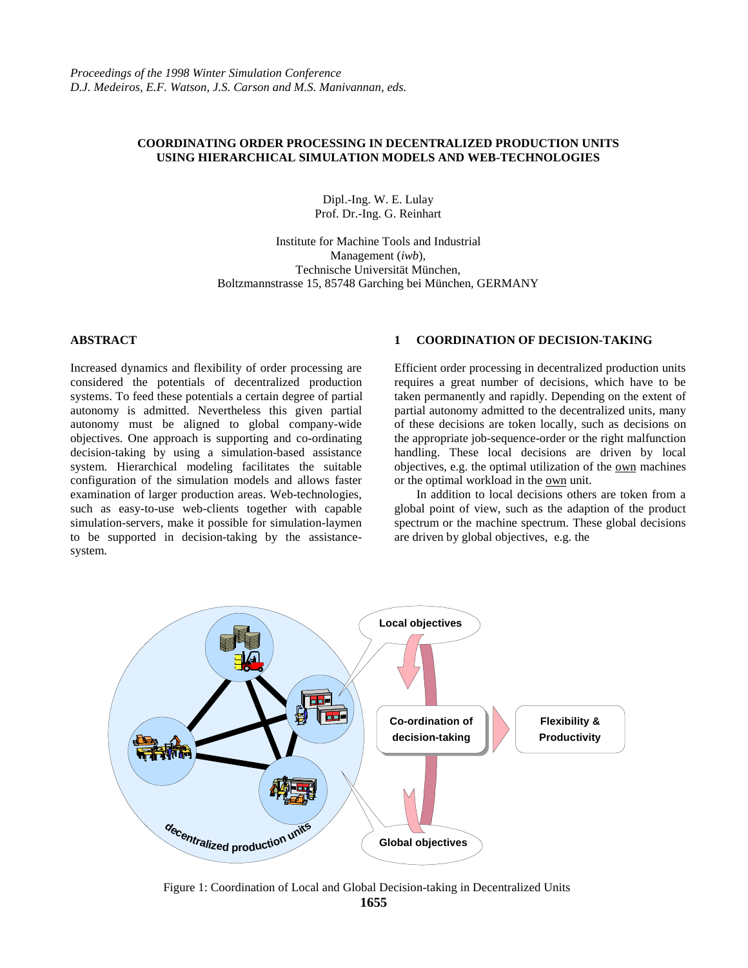# **COORDINATING ORDER PROCESSING IN DECENTRALIZED PRODUCTION UNITS USING HIERARCHICAL SIMULATION MODELS AND WEB-TECHNOLOGIES**

Dipl.-Ing. W. E. Lulay Prof. Dr.-Ing. G. Reinhart

Institute for Machine Tools and Industrial Management (*iwb*), Technische Universität München, Boltzmannstrasse 15, 85748 Garching bei München, GERMANY

# **ABSTRACT**

Increased dynamics and flexibility of order processing are considered the potentials of decentralized production systems. To feed these potentials a certain degree of partial autonomy is admitted. Nevertheless this given partial autonomy must be aligned to global company-wide objectives. One approach is supporting and co-ordinating decision-taking by using a simulation-based assistance system. Hierarchical modeling facilitates the suitable configuration of the simulation models and allows faster examination of larger production areas. Web-technologies, such as easy-to-use web-clients together with capable simulation-servers, make it possible for simulation-laymen to be supported in decision-taking by the assistancesystem.

# **1 COORDINATION OF DECISION-TAKING**

Efficient order processing in decentralized production units requires a great number of decisions, which have to be taken permanently and rapidly. Depending on the extent of partial autonomy admitted to the decentralized units, many of these decisions are token locally, such as decisions on the appropriate job-sequence-order or the right malfunction handling. These local decisions are driven by local objectives, e.g. the optimal utilization of the <u>own</u> machines or the optimal workload in the own unit.

In addition to local decisions others are token from a global point of view, such as the adaption of the product spectrum or the machine spectrum. These global decisions are driven by global objectives, e.g. the



Figure 1: Coordination of Local and Global Decision-taking in Decentralized Units **1655**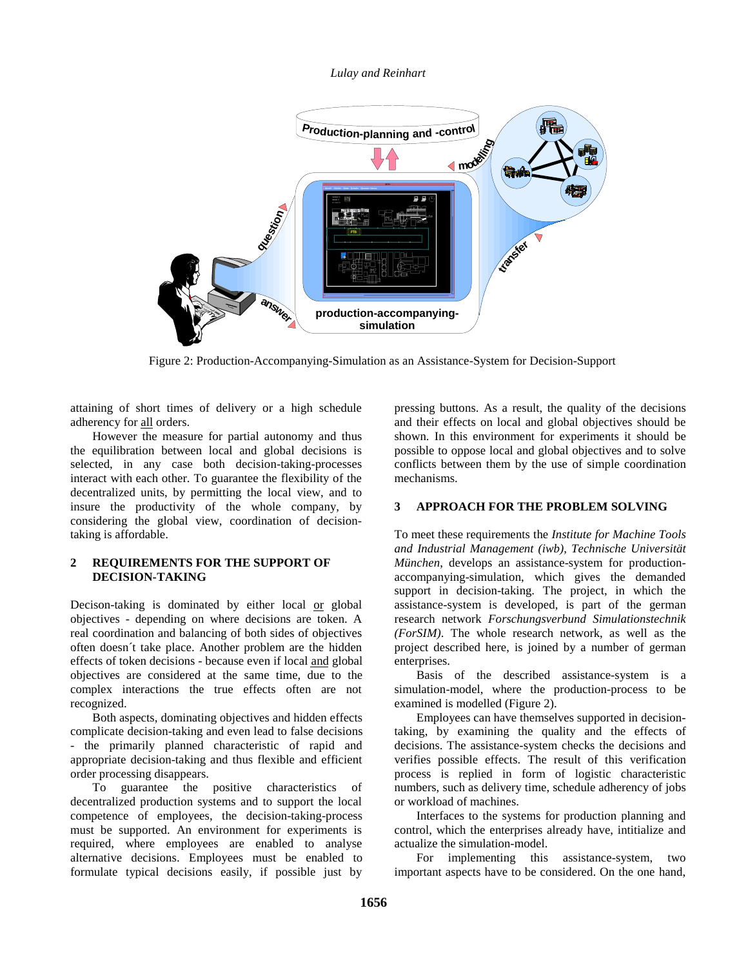# *Lulay and Reinhart*



Figure 2: Production-Accompanying-Simulation as an Assistance-System for Decision-Support

attaining of short times of delivery or a high schedule adherency for all orders.

However the measure for partial autonomy and thus the equilibration between local and global decisions is selected, in any case both decision-taking-processes interact with each other. To guarantee the flexibility of the decentralized units, by permitting the local view, and to insure the productivity of the whole company, by considering the global view, coordination of decisiontaking is affordable.

# **2 REQUIREMENTS FOR THE SUPPORT OF DECISION-TAKING**

Decison-taking is dominated by either local or global objectives - depending on where decisions are token. A real coordination and balancing of both sides of objectives often doesn´t take place. Another problem are the hidden effects of token decisions - because even if local and global objectives are considered at the same time, due to the complex interactions the true effects often are not recognized.

Both aspects, dominating objectives and hidden effects complicate decision-taking and even lead to false decisions - the primarily planned characteristic of rapid and appropriate decision-taking and thus flexible and efficient order processing disappears.

To guarantee the positive characteristics of decentralized production systems and to support the local competence of employees, the decision-taking-process must be supported. An environment for experiments is required, where employees are enabled to analyse alternative decisions. Employees must be enabled to formulate typical decisions easily, if possible just by

pressing buttons. As a result, the quality of the decisions and their effects on local and global objectives should be shown. In this environment for experiments it should be possible to oppose local and global objectives and to solve conflicts between them by the use of simple coordination mechanisms.

# **3 APPROACH FOR THE PROBLEM SOLVING**

To meet these requirements the *Institute for Machine Tools and Industrial Management (iwb), Technische Universität München*, develops an assistance-system for productionaccompanying-simulation, which gives the demanded support in decision-taking. The project, in which the assistance-system is developed, is part of the german research network *Forschungsverbund Simulationstechnik (ForSIM)*. The whole research network, as well as the project described here, is joined by a number of german enterprises.

Basis of the described assistance-system is a simulation-model, where the production-process to be examined is modelled (Figure 2).

Employees can have themselves supported in decisiontaking, by examining the quality and the effects of decisions. The assistance-system checks the decisions and verifies possible effects. The result of this verification process is replied in form of logistic characteristic numbers, such as delivery time, schedule adherency of jobs or workload of machines.

Interfaces to the systems for production planning and control, which the enterprises already have, intitialize and actualize the simulation-model.

For implementing this assistance-system, two important aspects have to be considered. On the one hand,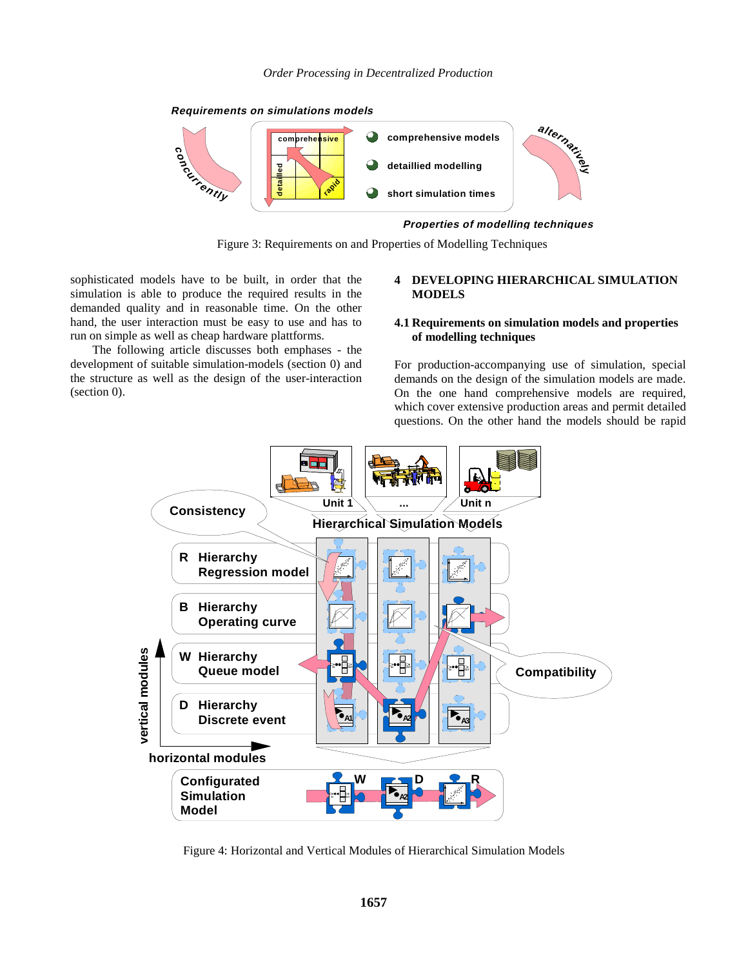



#### **Properties of modelling techniques**

Figure 3: Requirements on and Properties of Modelling Techniques

sophisticated models have to be built, in order that the simulation is able to produce the required results in the demanded quality and in reasonable time. On the other hand, the user interaction must be easy to use and has to run on simple as well as cheap hardware plattforms.

The following article discusses both emphases - the development of suitable simulation-models (section 0) and the structure as well as the design of the user-interaction (section 0).

#### **4 DEVELOPING HIERARCHICAL SIMULATION MODELS**

#### **4.1 Requirements on simulation models and properties of modelling techniques**

For production-accompanying use of simulation, special demands on the design of the simulation models are made. On the one hand comprehensive models are required, which cover extensive production areas and permit detailed questions. On the other hand the models should be rapid



Figure 4: Horizontal and Vertical Modules of Hierarchical Simulation Models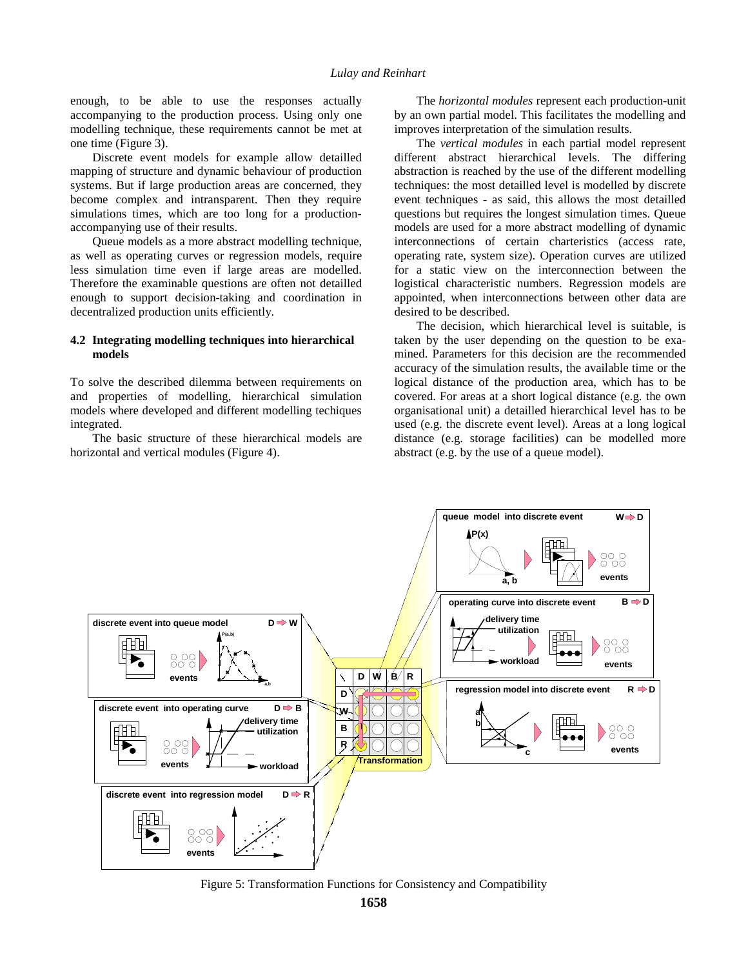enough, to be able to use the responses actually accompanying to the production process. Using only one modelling technique, these requirements cannot be met at one time (Figure 3).

Discrete event models for example allow detailled mapping of structure and dynamic behaviour of production systems. But if large production areas are concerned, they become complex and intransparent. Then they require simulations times, which are too long for a productionaccompanying use of their results.

Queue models as a more abstract modelling technique, as well as operating curves or regression models, require less simulation time even if large areas are modelled. Therefore the examinable questions are often not detailled enough to support decision-taking and coordination in decentralized production units efficiently.

### **4.2 Integrating modelling techniques into hierarchical models**

To solve the described dilemma between requirements on and properties of modelling, hierarchical simulation models where developed and different modelling techiques integrated.

The basic structure of these hierarchical models are horizontal and vertical modules (Figure 4).

The *horizontal modules* represent each production-unit by an own partial model. This facilitates the modelling and improves interpretation of the simulation results.

The *vertical modules* in each partial model represent different abstract hierarchical levels. The differing abstraction is reached by the use of the different modelling techniques: the most detailled level is modelled by discrete event techniques - as said, this allows the most detailled questions but requires the longest simulation times. Queue models are used for a more abstract modelling of dynamic interconnections of certain charteristics (access rate, operating rate, system size). Operation curves are utilized for a static view on the interconnection between the logistical characteristic numbers. Regression models are appointed, when interconnections between other data are desired to be described.

The decision, which hierarchical level is suitable, is taken by the user depending on the question to be examined. Parameters for this decision are the recommended accuracy of the simulation results, the available time or the logical distance of the production area, which has to be covered. For areas at a short logical distance (e.g. the own organisational unit) a detailled hierarchical level has to be used (e.g. the discrete event level). Areas at a long logical distance (e.g. storage facilities) can be modelled more abstract (e.g. by the use of a queue model).



Figure 5: Transformation Functions for Consistency and Compatibility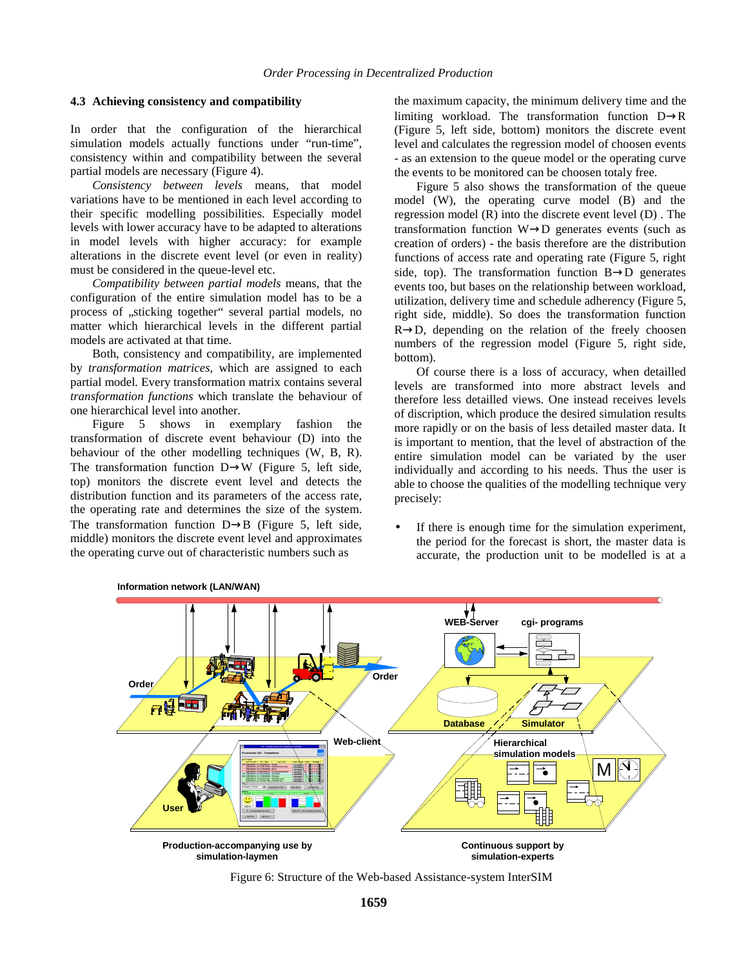#### **4.3 Achieving consistency and compatibility**

In order that the configuration of the hierarchical simulation models actually functions under "run-time", consistency within and compatibility between the several partial models are necessary (Figure 4).

*Consistency between levels* means, that model variations have to be mentioned in each level according to their specific modelling possibilities. Especially model levels with lower accuracy have to be adapted to alterations in model levels with higher accuracy: for example alterations in the discrete event level (or even in reality) must be considered in the queue-level etc.

*Compatibility between partial models* means, that the configuration of the entire simulation model has to be a process of "sticking together" several partial models, no matter which hierarchical levels in the different partial models are activated at that time.

Both, consistency and compatibility, are implemented by *transformation matrices,* which are assigned to each partial model*.* Every transformation matrix contains several *transformation functions* which translate the behaviour of one hierarchical level into another.

Figure 5 shows in exemplary fashion the transformation of discrete event behaviour (D) into the behaviour of the other modelling techniques (W, B, R). The transformation function D→W (Figure 5, left side, top) monitors the discrete event level and detects the distribution function and its parameters of the access rate, the operating rate and determines the size of the system. The transformation function D→B (Figure 5, left side, middle) monitors the discrete event level and approximates the operating curve out of characteristic numbers such as

the maximum capacity, the minimum delivery time and the limiting workload. The transformation function  $D\rightarrow R$ (Figure 5, left side, bottom) monitors the discrete event level and calculates the regression model of choosen events - as an extension to the queue model or the operating curve the events to be monitored can be choosen totaly free.

Figure 5 also shows the transformation of the queue model (W), the operating curve model (B) and the regression model (R) into the discrete event level (D) . The transformation function W→D generates events (such as creation of orders) - the basis therefore are the distribution functions of access rate and operating rate (Figure 5, right side, top). The transformation function  $B\rightarrow D$  generates events too, but bases on the relationship between workload, utilization, delivery time and schedule adherency (Figure 5, right side, middle). So does the transformation function R→D, depending on the relation of the freely choosen numbers of the regression model (Figure 5, right side, bottom).

Of course there is a loss of accuracy, when detailled levels are transformed into more abstract levels and therefore less detailled views. One instead receives levels of discription, which produce the desired simulation results more rapidly or on the basis of less detailed master data. It is important to mention, that the level of abstraction of the entire simulation model can be variated by the user individually and according to his needs. Thus the user is able to choose the qualities of the modelling technique very precisely:

If there is enough time for the simulation experiment, the period for the forecast is short, the master data is accurate, the production unit to be modelled is at a



Figure 6: Structure of the Web-based Assistance-system InterSIM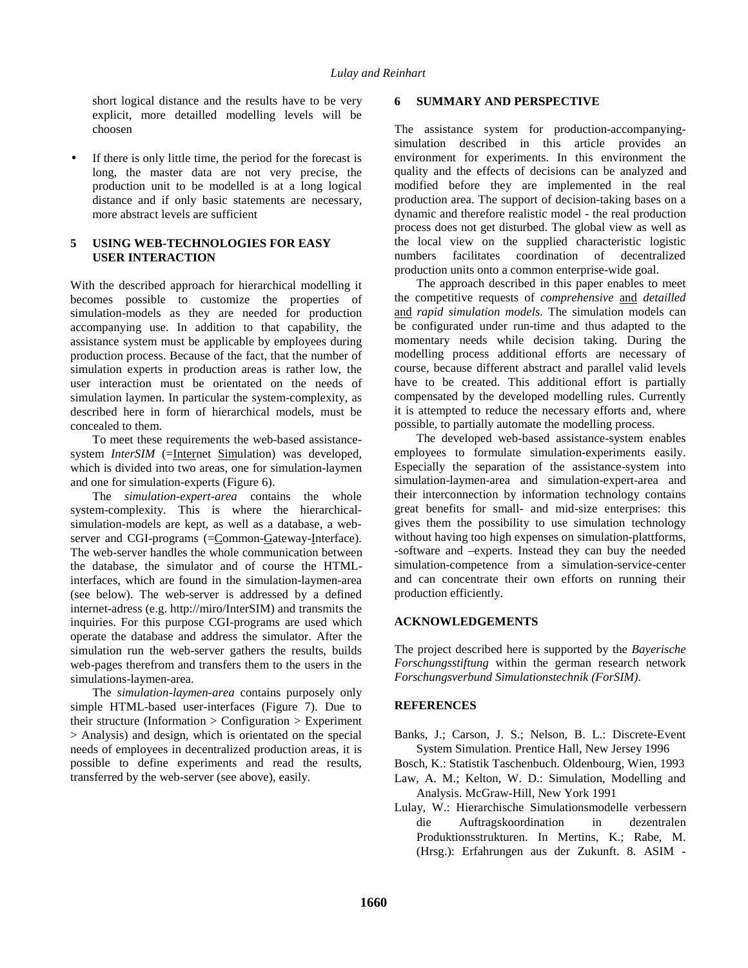short logical distance and the results have to be very explicit, more detailled modelling levels will be choosen

If there is only little time, the period for the forecast is long, the master data are not very precise, the production unit to be modelled is at a long logical distance and if only basic statements are necessary, more abstract levels are sufficient

# **5 USING WEB-TECHNOLOGIES FOR EASY USER INTERACTION**

With the described approach for hierarchical modelling it becomes possible to customize the properties of simulation-models as they are needed for production accompanying use. In addition to that capability, the assistance system must be applicable by employees during production process. Because of the fact, that the number of simulation experts in production areas is rather low, the user interaction must be orientated on the needs of simulation laymen. In particular the system-complexity, as described here in form of hierarchical models, must be concealed to them.

To meet these requirements the web-based assistancesystem *InterSIM* (=Internet Simulation) was developed, which is divided into two areas, one for simulation-laymen and one for simulation-experts (Figure 6).

The *simulation-expert-area* contains the whole system-complexity. This is where the hierarchicalsimulation-models are kept, as well as a database, a webserver and CGI-programs (=Common-Gateway-Interface). The web-server handles the whole communication between the database, the simulator and of course the HTMLinterfaces, which are found in the simulation-laymen-area (see below). The web-server is addressed by a defined internet-adress (e.g. http://miro/InterSIM) and transmits the inquiries. For this purpose CGI-programs are used which operate the database and address the simulator. After the simulation run the web-server gathers the results, builds web-pages therefrom and transfers them to the users in the simulations-laymen-area.

The *simulation-laymen-area* contains purposely only simple HTML-based user-interfaces (Figure 7). Due to their structure (Information > Configuration > Experiment > Analysis) and design, which is orientated on the special needs of employees in decentralized production areas, it is possible to define experiments and read the results, transferred by the web-server (see above), easily.

#### **6 SUMMARY AND PERSPECTIVE**

The assistance system for production-accompanyingsimulation described in this article provides an environment for experiments. In this environment the quality and the effects of decisions can be analyzed and modified before they are implemented in the real production area. The support of decision-taking bases on a dynamic and therefore realistic model - the real production process does not get disturbed. The global view as well as the local view on the supplied characteristic logistic numbers facilitates coordination of decentralized production units onto a common enterprise-wide goal.

The approach described in this paper enables to meet the competitive requests of *comprehensive* and *detailled* and *rapid simulation models*. The simulation models can be configurated under run-time and thus adapted to the momentary needs while decision taking. During the modelling process additional efforts are necessary of course, because different abstract and parallel valid levels have to be created. This additional effort is partially compensated by the developed modelling rules. Currently it is attempted to reduce the necessary efforts and, where possible, to partially automate the modelling process.

The developed web-based assistance-system enables employees to formulate simulation-experiments easily. Especially the separation of the assistance-system into simulation-laymen-area and simulation-expert-area and their interconnection by information technology contains great benefits for small- and mid-size enterprises: this gives them the possibility to use simulation technology without having too high expenses on simulation-plattforms, -software and –experts. Instead they can buy the needed simulation-competence from a simulation-service-center and can concentrate their own efforts on running their production efficiently.

# **ACKNOWLEDGEMENTS**

The project described here is supported by the *Bayerische Forschungsstiftung* within the german research network *Forschungsverbund Simulationstechnik (ForSIM)*.

#### **REFERENCES**

Banks, J.; Carson, J. S.; Nelson, B. L.: Discrete-Event System Simulation. Prentice Hall, New Jersey 1996

Bosch, K.: Statistik Taschenbuch. Oldenbourg, Wien, 1993

- Law, A. M.; Kelton, W. D.: Simulation, Modelling and Analysis. McGraw-Hill, New York 1991
- Lulay, W.: Hierarchische Simulationsmodelle verbessern die Auftragskoordination in dezentralen Produktionsstrukturen. In Mertins, K.; Rabe, M. (Hrsg.): Erfahrungen aus der Zukunft. 8. ASIM -